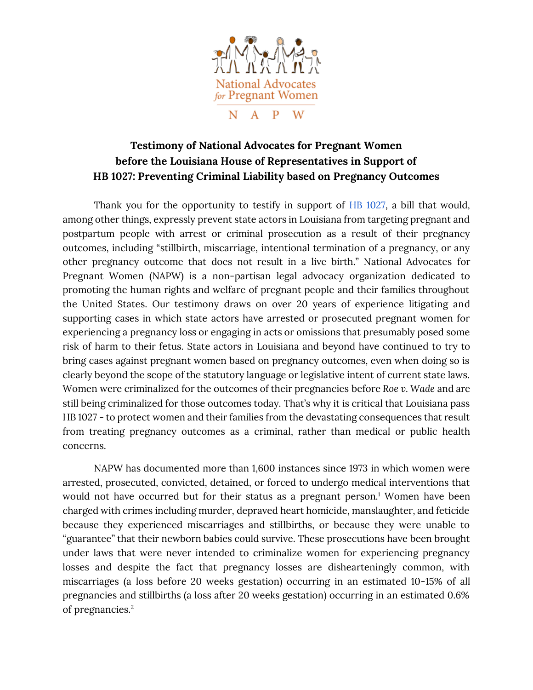

## **Testimony of National Advocates for Pregnant Women before the Louisiana House of Representatives in Support of HB 1027: Preventing Criminal Liability based on Pregnancy Outcomes**

Thank you for the opportunity to testify in support of **HB 1027**, a bill that would, among other things, expressly prevent state actors in Louisiana from targeting pregnant and postpartum people with arrest or criminal prosecution as a result of their pregnancy outcomes, including "stillbirth, miscarriage, intentional termination of a pregnancy, or any other pregnancy outcome that does not result in a live birth." National Advocates for Pregnant Women (NAPW) is a non-partisan legal advocacy organization dedicated to promoting the human rights and welfare of pregnant people and their families throughout the United States. Our testimony draws on over 20 years of experience litigating and supporting cases in which state actors have arrested or prosecuted pregnant women for experiencing a pregnancy loss or engaging in acts or omissions that presumably posed some risk of harm to their fetus. State actors in Louisiana and beyond have continued to try to bring cases against pregnant women based on pregnancy outcomes, even when doing so is clearly beyond the scope of the statutory language or legislative intent of current state laws. Women were criminalized for the outcomes of their pregnancies before *Roe v. Wade* and are still being criminalized for those outcomes today. That's why it is critical that Louisiana pass HB 1027 - to protect women and their families from the devastating consequences that result from treating pregnancy outcomes as a criminal, rather than medical or public health concerns.

NAPW has documented more than 1,600 instances since 1973 in which women were arrested, prosecuted, convicted, detained, or forced to undergo medical interventions that would not have occurred but for their status as a pregnant person.<sup>1</sup> Women have been charged with crimes including murder, depraved heart homicide, manslaughter, and feticide because they experienced miscarriages and stillbirths, or because they were unable to "guarantee" that their newborn babies could survive. These prosecutions have been brought under laws that were never intended to criminalize women for experiencing pregnancy losses and despite the fact that pregnancy losses are dishearteningly common, with miscarriages (a loss before 20 weeks gestation) occurring in an estimated 10-15% of all pregnancies and stillbirths (a loss after 20 weeks gestation) occurring in an estimated 0.6% of pregnancies.2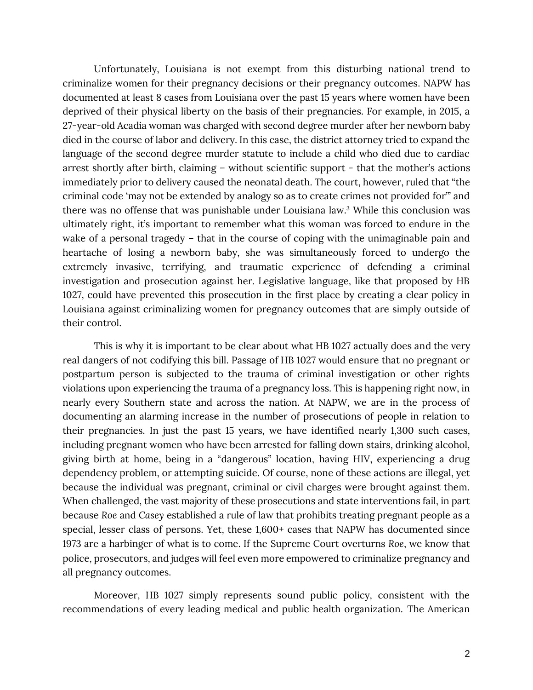Unfortunately, Louisiana is not exempt from this disturbing national trend to criminalize women for their pregnancy decisions or their pregnancy outcomes. NAPW has documented at least 8 cases from Louisiana over the past 15 years where women have been deprived of their physical liberty on the basis of their pregnancies. For example, in 2015, a 27-year-old Acadia woman was charged with second degree murder after her newborn baby died in the course of labor and delivery. In this case, the district attorney tried to expand the language of the second degree murder statute to include a child who died due to cardiac arrest shortly after birth, claiming – without scientific support - that the mother's actions immediately prior to delivery caused the neonatal death. The court, however, ruled that "the criminal code 'may not be extended by analogy so as to create crimes not provided for'" and there was no offense that was punishable under Louisiana law.<sup>3</sup> While this conclusion was ultimately right, it's important to remember what this woman was forced to endure in the wake of a personal tragedy – that in the course of coping with the unimaginable pain and heartache of losing a newborn baby, she was simultaneously forced to undergo the extremely invasive, terrifying, and traumatic experience of defending a criminal investigation and prosecution against her. Legislative language, like that proposed by HB 1027, could have prevented this prosecution in the first place by creating a clear policy in Louisiana against criminalizing women for pregnancy outcomes that are simply outside of their control.

This is why it is important to be clear about what HB 1027 actually does and the very real dangers of not codifying this bill. Passage of HB 1027 would ensure that no pregnant or postpartum person is subjected to the trauma of criminal investigation or other rights violations upon experiencing the trauma of a pregnancy loss. This is happening right now, in nearly every Southern state and across the nation. At NAPW, we are in the process of documenting an alarming increase in the number of prosecutions of people in relation to their pregnancies. In just the past 15 years, we have identified nearly 1,300 such cases, including pregnant women who have been arrested for falling down stairs, drinking alcohol, giving birth at home, being in a "dangerous" location, having HIV, experiencing a drug dependency problem, or attempting suicide. Of course, none of these actions are illegal, yet because the individual was pregnant, criminal or civil charges were brought against them. When challenged, the vast majority of these prosecutions and state interventions fail, in part because *Roe* and *Casey* established a rule of law that prohibits treating pregnant people as a special, lesser class of persons. Yet, these 1,600+ cases that NAPW has documented since 1973 are a harbinger of what is to come. If the Supreme Court overturns *Roe*, we know that police, prosecutors, and judges will feel even more empowered to criminalize pregnancy and all pregnancy outcomes.

Moreover, HB 1027 simply represents sound public policy, consistent with the recommendations of every leading medical and public health organization. The American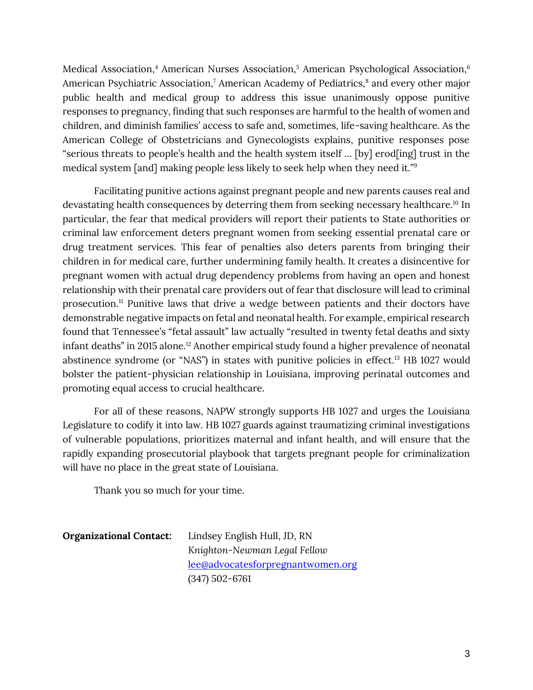Medical Association,<sup>4</sup> American Nurses Association,<sup>5</sup> American Psychological Association,<sup>6</sup> American Psychiatric Association,<sup>7</sup> American Academy of Pediatrics,<sup>8</sup> and every other major public health and medical group to address this issue unanimously oppose punitive responses to pregnancy, finding that such responses are harmful to the health of women and children, and diminish families' access to safe and, sometimes, life-saving healthcare. As the American College of Obstetricians and Gynecologists explains, punitive responses pose "serious threats to people's health and the health system itself … [by] erod[ing] trust in the medical system [and] making people less likely to seek help when they need it."<sup>9</sup>

Facilitating punitive actions against pregnant people and new parents causes real and devastating health consequences by deterring them from seeking necessary healthcare.<sup>10</sup> In particular, the fear that medical providers will report their patients to State authorities or criminal law enforcement deters pregnant women from seeking essential prenatal care or drug treatment services. This fear of penalties also deters parents from bringing their children in for medical care, further undermining family health. It creates a disincentive for pregnant women with actual drug dependency problems from having an open and honest relationship with their prenatal care providers out of fear that disclosure will lead to criminal prosecution.<sup>11</sup> Punitive laws that drive a wedge between patients and their doctors have demonstrable negative impacts on fetal and neonatal health. For example, empirical research found that Tennessee's "fetal assault" law actually "resulted in twenty fetal deaths and sixty infant deaths" in 2015 alone.<sup>12</sup> Another empirical study found a higher prevalence of neonatal abstinence syndrome (or "NAS") in states with punitive policies in effect.<sup>13</sup> HB 1027 would bolster the patient-physician relationship in Louisiana, improving perinatal outcomes and promoting equal access to crucial healthcare.

For all of these reasons, NAPW strongly supports HB 1027 and urges the Louisiana Legislature to codify it into law. HB 1027 guards against traumatizing criminal investigations of vulnerable populations, prioritizes maternal and infant health, and will ensure that the rapidly expanding prosecutorial playbook that targets pregnant people for criminalization will have no place in the great state of Louisiana.

Thank you so much for your time.

| <b>Organizational Contact:</b> | Lindsey English Hull, JD, RN      |
|--------------------------------|-----------------------------------|
|                                | Knighton-Newman Legal Fellow      |
|                                | lee@advocatesforpregnantwomen.org |
|                                | $(347)$ 502-6761                  |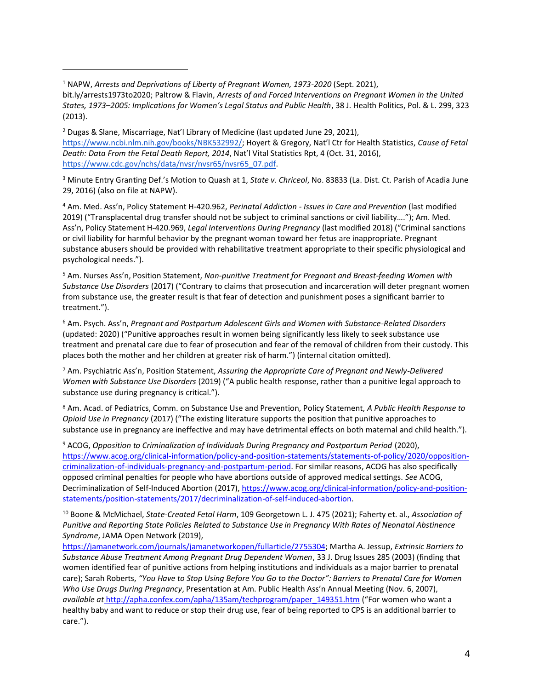<sup>1</sup> NAPW, *Arrests and Deprivations of Liberty of Pregnant Women, 1973-2020* (Sept. 2021),

bit.ly/arrests1973to2020; Paltrow & Flavin, *Arrests of and Forced Interventions on Pregnant Women in the United States, 1973–2005: Implications for Women's Legal Status and Public Health*, 38 J. Health Politics, Pol. & L. 299, 323 (2013).

<sup>2</sup> Dugas & Slane, Miscarriage, Nat'l Library of Medicine (last updated June 29, 2021), <https://www.ncbi.nlm.nih.gov/books/NBK532992/>; Hoyert & Gregory, Nat'l Ctr for Health Statistics, *Cause of Fetal Death: Data From the Fetal Death Report, 2014*, Nat'l Vital Statistics Rpt, 4 (Oct. 31, 2016), [https://www.cdc.gov/nchs/data/nvsr/nvsr65/nvsr65\\_07.pdf.](https://www.cdc.gov/nchs/data/nvsr/nvsr65/nvsr65_07.pdf)

<sup>3</sup> Minute Entry Granting Def.'s Motion to Quash at 1, *State v. Chriceol*, No. 83833 (La. Dist. Ct. Parish of Acadia June 29, 2016) (also on file at NAPW).

<sup>4</sup> Am. Med. Ass'n, Policy Statement H-420.962, *Perinatal Addiction - Issues in Care and Prevention* (last modified 2019) ("Transplacental drug transfer should not be subject to criminal sanctions or civil liability…."); Am. Med. Ass'n, Policy Statement H-420.969, *Legal Interventions During Pregnancy* (last modified 2018) ("Criminal sanctions or civil liability for harmful behavior by the pregnant woman toward her fetus are inappropriate. Pregnant substance abusers should be provided with rehabilitative treatment appropriate to their specific physiological and psychological needs.").

<sup>5</sup> Am. Nurses Ass'n, Position Statement, *Non-punitive Treatment for Pregnant and Breast-feeding Women with Substance Use Disorders* (2017) ("Contrary to claims that prosecution and incarceration will deter pregnant women from substance use, the greater result is that fear of detection and punishment poses a significant barrier to treatment.").

<sup>6</sup> Am. Psych. Ass'n, *Pregnant and Postpartum Adolescent Girls and Women with Substance-Related Disorders*  (updated: 2020) ("Punitive approaches result in women being significantly less likely to seek substance use treatment and prenatal care due to fear of prosecution and fear of the removal of children from their custody. This places both the mother and her children at greater risk of harm.") (internal citation omitted).

<sup>7</sup> Am. Psychiatric Ass'n, Position Statement, *Assuring the Appropriate Care of Pregnant and Newly-Delivered Women with Substance Use Disorders* (2019) ("A public health response, rather than a punitive legal approach to substance use during pregnancy is critical.").

<sup>8</sup> Am. Acad. of Pediatrics, Comm. on Substance Use and Prevention, Policy Statement, *A Public Health Response to Opioid Use in Pregnancy* (2017) ("The existing literature supports the position that punitive approaches to substance use in pregnancy are ineffective and may have detrimental effects on both maternal and child health.").

<sup>9</sup> ACOG, *Opposition to Criminalization of Individuals During Pregnancy and Postpartum Period* (2020), [https://www.acog.org/clinical-information/policy-and-position-statements/statements-of-policy/2020/opposition](https://www.acog.org/clinical-information/policy-and-position-statements/statements-of-policy/2020/opposition-criminalization-of-individuals-pregnancy-and-postpartum-period)[criminalization-of-individuals-pregnancy-and-postpartum-period.](https://www.acog.org/clinical-information/policy-and-position-statements/statements-of-policy/2020/opposition-criminalization-of-individuals-pregnancy-and-postpartum-period) For similar reasons, ACOG has also specifically opposed criminal penalties for people who have abortions outside of approved medical settings. *See* ACOG, Decriminalization of Self-Induced Abortion (2017), [https://www.acog.org/clinical-information/policy-and-position](https://www.acog.org/clinical-information/policy-and-position-statements/position-statements/2017/decriminalization-of-self-induced-abortion)[statements/position-statements/2017/decriminalization-of-self-induced-abortion.](https://www.acog.org/clinical-information/policy-and-position-statements/position-statements/2017/decriminalization-of-self-induced-abortion)

<sup>10</sup> Boone & McMichael, *State-Created Fetal Harm*, 109 Georgetown L. J. 475 (2021); Faherty et. al., *Association of Punitive and Reporting State Policies Related to Substance Use in Pregnancy With Rates of Neonatal Abstinence Syndrome*, JAMA Open Network (2019),

[https://jamanetwork.com/journals/jamanetworkopen/fullarticle/2755304;](https://jamanetwork.com/journals/jamanetworkopen/fullarticle/2755304) Martha A. Jessup, *Extrinsic Barriers to Substance Abuse Treatment Among Pregnant Drug Dependent Women*, 33 J. Drug Issues 285 (2003) (finding that women identified fear of punitive actions from helping institutions and individuals as a major barrier to prenatal care); Sarah Roberts, *"You Have to Stop Using Before You Go to the Doctor": Barriers to Prenatal Care for Women Who Use Drugs During Pregnancy*, Presentation at Am. Public Health Ass'n Annual Meeting (Nov. 6, 2007), *available at* [http://apha.confex.com/apha/135am/techprogram/paper\\_149351.htm](http://apha.confex.com/apha/135am/techprogram/paper_149351.htm) ("For women who want a healthy baby and want to reduce or stop their drug use, fear of being reported to CPS is an additional barrier to care.").